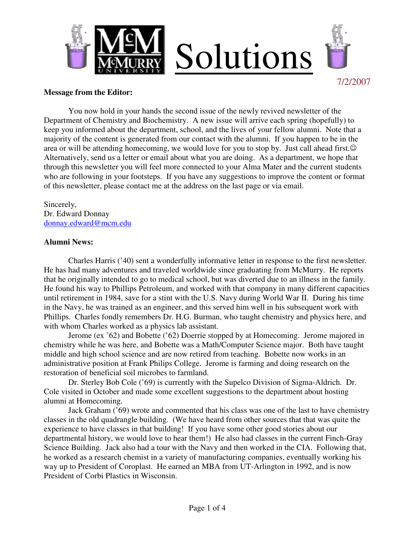

#### **Message from the Editor:**

 You now hold in your hands the second issue of the newly revived newsletter of the Department of Chemistry and Biochemistry. A new issue will arrive each spring (hopefully) to keep you informed about the department, school, and the lives of your fellow alumni. Note that a majority of the content is generated from our contact with the alumni. If you happen to be in the area or will be attending homecoming, we would love for you to stop by. Just call ahead first. $\odot$ Alternatively, send us a letter or email about what you are doing. As a department, we hope that through this newsletter you will feel more connected to your Alma Mater and the current students who are following in your footsteps. If you have any suggestions to improve the content or format of this newsletter, please contact me at the address on the last page or via email.

Sincerely, Dr. Edward Donnay donnay.edward@mcm.edu

#### **Alumni News:**

 Charles Harris ('40) sent a wonderfully informative letter in response to the first newsletter. He has had many adventures and traveled worldwide since graduating from McMurry. He reports that he originally intended to go to medical school, but was diverted due to an illness in the family. He found his way to Phillips Petroleum, and worked with that company in many different capacities until retirement in 1984, save for a stint with the U.S. Navy during World War II. During his time in the Navy, he was trained as an engineer, and this served him well in his subsequent work with Phillips. Charles fondly remembers Dr. H.G. Burman, who taught chemistry and physics here, and with whom Charles worked as a physics lab assistant.

Jerome (ex '62) and Bobette ('62) Doerrie stopped by at Homecoming. Jerome majored in chemistry while he was here, and Bobette was a Math/Computer Science major. Both have taught middle and high school science and are now retired from teaching. Bobette now works in an administrative position at Frank Philips College. Jerome is farming and doing research on the restoration of beneficial soil microbes to farmland.

Dr. Sterley Bob Cole ('69) is currently with the Supelco Division of Sigma-Aldrich. Dr. Cole visited in October and made some excellent suggestions to the department about hosting alumni at Homecoming.

 Jack Graham ('69) wrote and commented that his class was one of the last to have chemistry classes in the old quadrangle building. (We have heard from other sources that that was quite the experience to have classes in that building! If you have some other good stories about our departmental history, we would love to hear them!) He also had classes in the current Finch-Gray Science Building. Jack also had a tour with the Navy and then worked in the CIA. Following that, he worked as a research chemist in a variety of manufacturing companies, eventually working his way up to President of Coroplast. He earned an MBA from UT-Arlington in 1992, and is now President of Corbi Plastics in Wisconsin.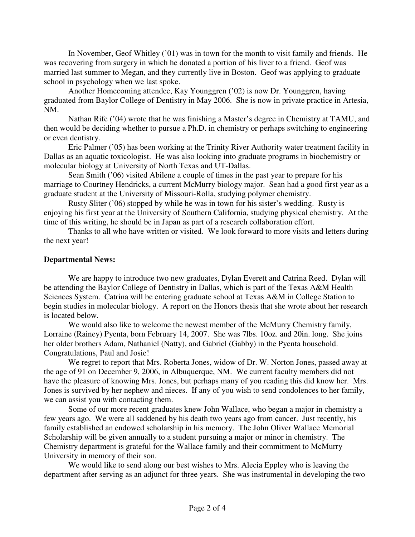In November, Geof Whitley ('01) was in town for the month to visit family and friends. He was recovering from surgery in which he donated a portion of his liver to a friend. Geof was married last summer to Megan, and they currently live in Boston. Geof was applying to graduate school in psychology when we last spoke.

Another Homecoming attendee, Kay Younggren ('02) is now Dr. Younggren, having graduated from Baylor College of Dentistry in May 2006. She is now in private practice in Artesia, NM.

 Nathan Rife ('04) wrote that he was finishing a Master's degree in Chemistry at TAMU, and then would be deciding whether to pursue a Ph.D. in chemistry or perhaps switching to engineering or even dentistry.

 Eric Palmer ('05) has been working at the Trinity River Authority water treatment facility in Dallas as an aquatic toxicologist. He was also looking into graduate programs in biochemistry or molecular biology at University of North Texas and UT-Dallas.

Sean Smith ('06) visited Abilene a couple of times in the past year to prepare for his marriage to Courtney Hendricks, a current McMurry biology major. Sean had a good first year as a graduate student at the University of Missouri-Rolla, studying polymer chemistry.

 Rusty Sliter ('06) stopped by while he was in town for his sister's wedding. Rusty is enjoying his first year at the University of Southern California, studying physical chemistry. At the time of this writing, he should be in Japan as part of a research collaboration effort.

 Thanks to all who have written or visited. We look forward to more visits and letters during the next year!

### **Departmental News:**

 We are happy to introduce two new graduates, Dylan Everett and Catrina Reed. Dylan will be attending the Baylor College of Dentistry in Dallas, which is part of the Texas A&M Health Sciences System. Catrina will be entering graduate school at Texas A&M in College Station to begin studies in molecular biology. A report on the Honors thesis that she wrote about her research is located below.

We would also like to welcome the newest member of the McMurry Chemistry family, Lorraine (Rainey) Pyenta, born February 14, 2007. She was 7lbs. 10oz. and 20in. long. She joins her older brothers Adam, Nathaniel (Natty), and Gabriel (Gabby) in the Pyenta household. Congratulations, Paul and Josie!

 We regret to report that Mrs. Roberta Jones, widow of Dr. W. Norton Jones, passed away at the age of 91 on December 9, 2006, in Albuquerque, NM. We current faculty members did not have the pleasure of knowing Mrs. Jones, but perhaps many of you reading this did know her. Mrs. Jones is survived by her nephew and nieces. If any of you wish to send condolences to her family, we can assist you with contacting them.

 Some of our more recent graduates knew John Wallace, who began a major in chemistry a few years ago. We were all saddened by his death two years ago from cancer. Just recently, his family established an endowed scholarship in his memory. The John Oliver Wallace Memorial Scholarship will be given annually to a student pursuing a major or minor in chemistry. The Chemistry department is grateful for the Wallace family and their commitment to McMurry University in memory of their son.

 We would like to send along our best wishes to Mrs. Alecia Eppley who is leaving the department after serving as an adjunct for three years. She was instrumental in developing the two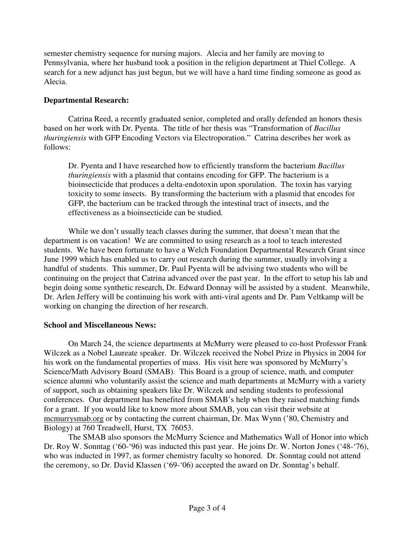semester chemistry sequence for nursing majors. Alecia and her family are moving to Pennsylvania, where her husband took a position in the religion department at Thiel College. A search for a new adjunct has just begun, but we will have a hard time finding someone as good as Alecia.

# **Departmental Research:**

 Catrina Reed, a recently graduated senior, completed and orally defended an honors thesis based on her work with Dr. Pyenta. The title of her thesis was "Transformation of *Bacillus thuringiensis* with GFP Encoding Vectors via Electroporation." Catrina describes her work as follows:

Dr. Pyenta and I have researched how to efficiently transform the bacterium *Bacillus thuringiensis* with a plasmid that contains encoding for GFP. The bacterium is a bioinsecticide that produces a delta-endotoxin upon sporulation. The toxin has varying toxicity to some insects. By transforming the bacterium with a plasmid that encodes for GFP, the bacterium can be tracked through the intestinal tract of insects, and the effectiveness as a bioinsecticide can be studied*.* 

 While we don't usually teach classes during the summer, that doesn't mean that the department is on vacation! We are committed to using research as a tool to teach interested students. We have been fortunate to have a Welch Foundation Departmental Research Grant since June 1999 which has enabled us to carry out research during the summer, usually involving a handful of students. This summer, Dr. Paul Pyenta will be advising two students who will be continuing on the project that Catrina advanced over the past year. In the effort to setup his lab and begin doing some synthetic research, Dr. Edward Donnay will be assisted by a student. Meanwhile, Dr. Arlen Jeffery will be continuing his work with anti-viral agents and Dr. Pam Veltkamp will be working on changing the direction of her research.

# **School and Miscellaneous News:**

 On March 24, the science departments at McMurry were pleased to co-host Professor Frank Wilczek as a Nobel Laureate speaker. Dr. Wilczek received the Nobel Prize in Physics in 2004 for his work on the fundamental properties of mass. His visit here was sponsored by McMurry's Science/Math Advisory Board (SMAB). This Board is a group of science, math, and computer science alumni who voluntarily assist the science and math departments at McMurry with a variety of support, such as obtaining speakers like Dr. Wilczek and sending students to professional conferences. Our department has benefited from SMAB's help when they raised matching funds for a grant. If you would like to know more about SMAB, you can visit their website at mcmurrysmab.org or by contacting the current chairman, Dr. Max Wynn ('80, Chemistry and Biology) at 760 Treadwell, Hurst, TX 76053.

The SMAB also sponsors the McMurry Science and Mathematics Wall of Honor into which Dr. Roy W. Sonntag ('60-'96) was inducted this past year. He joins Dr. W. Norton Jones ('48-'76), who was inducted in 1997, as former chemistry faculty so honored. Dr. Sonntag could not attend the ceremony, so Dr. David Klassen ('69-'06) accepted the award on Dr. Sonntag's behalf.